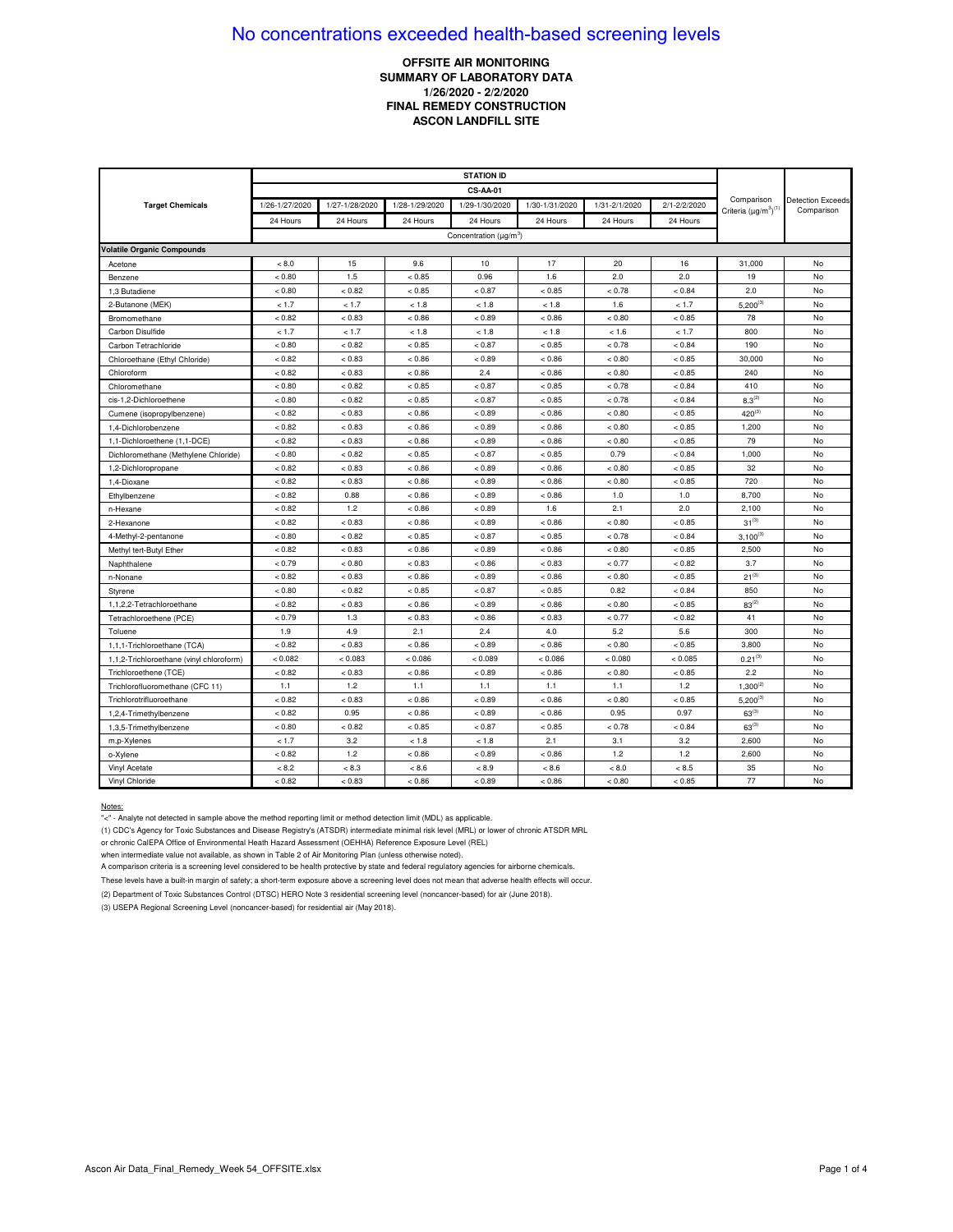## **OFFSITE AIR MONITORING** SUMMARY OF LABORATORY DATA 1/26/2020 - 2/2/2020 **FINAL REMEDY CONSTRUCTION ASCON LANDFILL SITE**

|                                          | <b>STATION ID</b> |                |                |                                          |                |               |              |                                            |                                        |
|------------------------------------------|-------------------|----------------|----------------|------------------------------------------|----------------|---------------|--------------|--------------------------------------------|----------------------------------------|
|                                          | <b>CS-AA-01</b>   |                |                |                                          |                |               |              |                                            |                                        |
| <b>Target Chemicals</b>                  | 1/26-1/27/2020    | 1/27-1/28/2020 | 1/28-1/29/2020 | 1/29-1/30/2020                           | 1/30-1/31/2020 | 1/31-2/1/2020 | 2/1-2/2/2020 | Comparison<br>Criteria $(\mu g/m^3)^{(1)}$ | <b>Detection Exceeds</b><br>Comparison |
|                                          | 24 Hours          | 24 Hours       | 24 Hours       | 24 Hours                                 | 24 Hours       | 24 Hours      | 24 Hours     |                                            |                                        |
|                                          |                   |                |                | Concentration ( $\mu$ g/m <sup>3</sup> ) |                |               |              |                                            |                                        |
| <b>Volatile Organic Compounds</b>        |                   |                |                |                                          |                |               |              |                                            |                                        |
| Acetone                                  | < 8.0             | 15             | 9.6            | 10                                       | 17             | 20            | 16           | 31,000                                     | No                                     |
| Benzene                                  | < 0.80            | 1.5            | < 0.85         | 0.96                                     | 1.6            | 2.0           | 2.0          | 19                                         | No                                     |
| 1,3 Butadiene                            | < 0.80            | < 0.82         | < 0.85         | < 0.87                                   | < 0.85         | < 0.78        | < 0.84       | 2.0                                        | No                                     |
| 2-Butanone (MEK)                         | < 1.7             | < 1.7          | < 1.8          | < 1.8                                    | < 1.8          | 1.6           | < 1.7        | $5,200^{(3)}$                              | No                                     |
| Bromomethane                             | < 0.82            | < 0.83         | < 0.86         | < 0.89                                   | < 0.86         | < 0.80        | < 0.85       | 78                                         | No                                     |
| Carbon Disulfide                         | < 1.7             | < 1.7          | < 1.8          | < 1.8                                    | < 1.8          | < 1.6         | < 1.7        | 800                                        | No                                     |
| Carbon Tetrachloride                     | < 0.80            | < 0.82         | < 0.85         | < 0.87                                   | < 0.85         | < 0.78        | < 0.84       | 190                                        | No                                     |
| Chloroethane (Ethyl Chloride)            | < 0.82            | < 0.83         | < 0.86         | < 0.89                                   | < 0.86         | < 0.80        | < 0.85       | 30,000                                     | No                                     |
| Chloroform                               | < 0.82            | < 0.83         | < 0.86         | 2.4                                      | < 0.86         | < 0.80        | < 0.85       | 240                                        | No                                     |
| Chloromethane                            | < 0.80            | < 0.82         | < 0.85         | < 0.87                                   | < 0.85         | < 0.78        | < 0.84       | 410                                        | No                                     |
| cis-1.2-Dichloroethene                   | < 0.80            | < 0.82         | < 0.85         | < 0.87                                   | < 0.85         | < 0.78        | < 0.84       | $8.3^{(2)}$                                | No                                     |
| Cumene (isopropylbenzene)                | < 0.82            | < 0.83         | < 0.86         | < 0.89                                   | < 0.86         | < 0.80        | < 0.85       | $420^{(3)}$                                | No                                     |
| 1,4-Dichlorobenzene                      | < 0.82            | < 0.83         | < 0.86         | < 0.89                                   | < 0.86         | < 0.80        | < 0.85       | 1,200                                      | No                                     |
| 1,1-Dichloroethene (1,1-DCE)             | < 0.82            | < 0.83         | < 0.86         | < 0.89                                   | < 0.86         | < 0.80        | < 0.85       | 79                                         | No                                     |
| Dichloromethane (Methylene Chloride)     | < 0.80            | < 0.82         | < 0.85         | < 0.87                                   | < 0.85         | 0.79          | < 0.84       | 1,000                                      | No                                     |
| 1,2-Dichloropropane                      | < 0.82            | < 0.83         | < 0.86         | < 0.89                                   | < 0.86         | < 0.80        | < 0.85       | 32                                         | No                                     |
| 1,4-Dioxane                              | < 0.82            | < 0.83         | < 0.86         | < 0.89                                   | < 0.86         | < 0.80        | < 0.85       | 720                                        | No                                     |
| Ethylbenzene                             | < 0.82            | 0.88           | < 0.86         | < 0.89                                   | < 0.86         | 1.0           | 1.0          | 8,700                                      | No                                     |
| n-Hexane                                 | < 0.82            | 1.2            | < 0.86         | < 0.89                                   | 1.6            | 2.1           | 2.0          | 2,100                                      | No                                     |
| 2-Hexanone                               | < 0.82            | < 0.83         | < 0.86         | < 0.89                                   | < 0.86         | < 0.80        | < 0.85       | $31^{(3)}$                                 | No                                     |
| 4-Methyl-2-pentanone                     | < 0.80            | < 0.82         | < 0.85         | < 0.87                                   | < 0.85         | < 0.78        | < 0.84       | $3,100^{(3)}$                              | No                                     |
| Methyl tert-Butyl Ether                  | < 0.82            | < 0.83         | < 0.86         | < 0.89                                   | < 0.86         | < 0.80        | < 0.85       | 2,500                                      | No                                     |
| Naphthalene                              | < 0.79            | < 0.80         | < 0.83         | < 0.86                                   | < 0.83         | < 0.77        | < 0.82       | 3.7                                        | No                                     |
| n-Nonane                                 | < 0.82            | < 0.83         | < 0.86         | < 0.89                                   | < 0.86         | < 0.80        | < 0.85       | $21^{(3)}$                                 | No                                     |
| Styrene                                  | < 0.80            | < 0.82         | < 0.85         | < 0.87                                   | < 0.85         | 0.82          | < 0.84       | 850                                        | No                                     |
| 1,1,2,2-Tetrachloroethane                | < 0.82            | < 0.83         | < 0.86         | < 0.89                                   | < 0.86         | < 0.80        | < 0.85       | $83^{(2)}$                                 | No                                     |
| Tetrachloroethene (PCE)                  | < 0.79            | 1.3            | < 0.83         | < 0.86                                   | < 0.83         | < 0.77        | < 0.82       | 41                                         | No                                     |
| Toluene                                  | 1.9               | 4.9            | 2.1            | 2.4                                      | 4.0            | 5.2           | 5.6          | 300                                        | No                                     |
| 1,1,1-Trichloroethane (TCA)              | < 0.82            | < 0.83         | < 0.86         | < 0.89                                   | < 0.86         | < 0.80        | < 0.85       | 3,800                                      | No                                     |
| 1,1,2-Trichloroethane (vinyl chloroform) | < 0.082           | < 0.083        | < 0.086        | < 0.089                                  | < 0.086        | < 0.080       | < 0.085      | $0.21^{(3)}$                               | No                                     |
| Trichloroethene (TCE)                    | < 0.82            | < 0.83         | < 0.86         | < 0.89                                   | < 0.86         | < 0.80        | < 0.85       | 2.2                                        | No                                     |
| Trichlorofluoromethane (CFC 11)          | 1.1               | 1.2            | 1.1            | 1.1                                      | 1.1            | 1.1           | 1.2          | $1.300^{(2)}$                              | No                                     |
| Trichlorotrifluoroethane                 | < 0.82            | < 0.83         | < 0.86         | < 0.89                                   | < 0.86         | < 0.80        | < 0.85       | $5,200^{(3)}$                              | No                                     |
| 1,2,4-Trimethylbenzene                   | < 0.82            | 0.95           | < 0.86         | < 0.89                                   | < 0.86         | 0.95          | 0.97         | $63^{(3)}$                                 | No                                     |
| 1,3,5-Trimethylbenzene                   | < 0.80            | < 0.82         | < 0.85         | < 0.87                                   | < 0.85         | < 0.78        | < 0.84       | $63^{(3)}$                                 | No                                     |
| m,p-Xylenes                              | < 1.7             | 3.2            | < 1.8          | < 1.8                                    | 2.1            | 3.1           | 3.2          | 2,600                                      | No                                     |
| o-Xylene                                 | < 0.82            | 1.2            | < 0.86         | < 0.89                                   | < 0.86         | 1.2           | 1.2          | 2,600                                      | No                                     |
| Vinyl Acetate                            | < 8.2             | < 8.3          | < 8.6          | < 8.9                                    | < 8.6          | < 8.0         | < 8.5        | 35                                         | No                                     |
| Vinyl Chloride                           | < 0.82            | < 0.83         | < 0.86         | < 0.89                                   | < 0.86         | < 0.80        | < 0.85       | 77                                         | No                                     |

#### Notes:

"<" - Analyte not detected in sample above the method reporting limit or method detection limit (MDL) as applicable.

(1) CDC's Agency for Toxic Substances and Disease Registry's (ATSDR) intermediate minimal risk level (MRL) or lower of chronic ATSDR MRL

or chronic CalEPA Office of Environmental Heath Hazard Assessment (OEHHA) Reference Exposure Level (REL)

when intermediate value not available, as shown in Table 2 of Air Monitoring Plan (unless otherwise noted).

A comparison criteria is a screening level considered to be health protective by state and federal regulatory agencies for airborne chemicals.

These levels have a built-in margin of safety; a short-term exposure above a screening level does not mean that adverse health effects will occur.

(2) Department of Toxic Substances Control (DTSC) HERO Note 3 residential screening level (noncancer-based) for air (June 2018).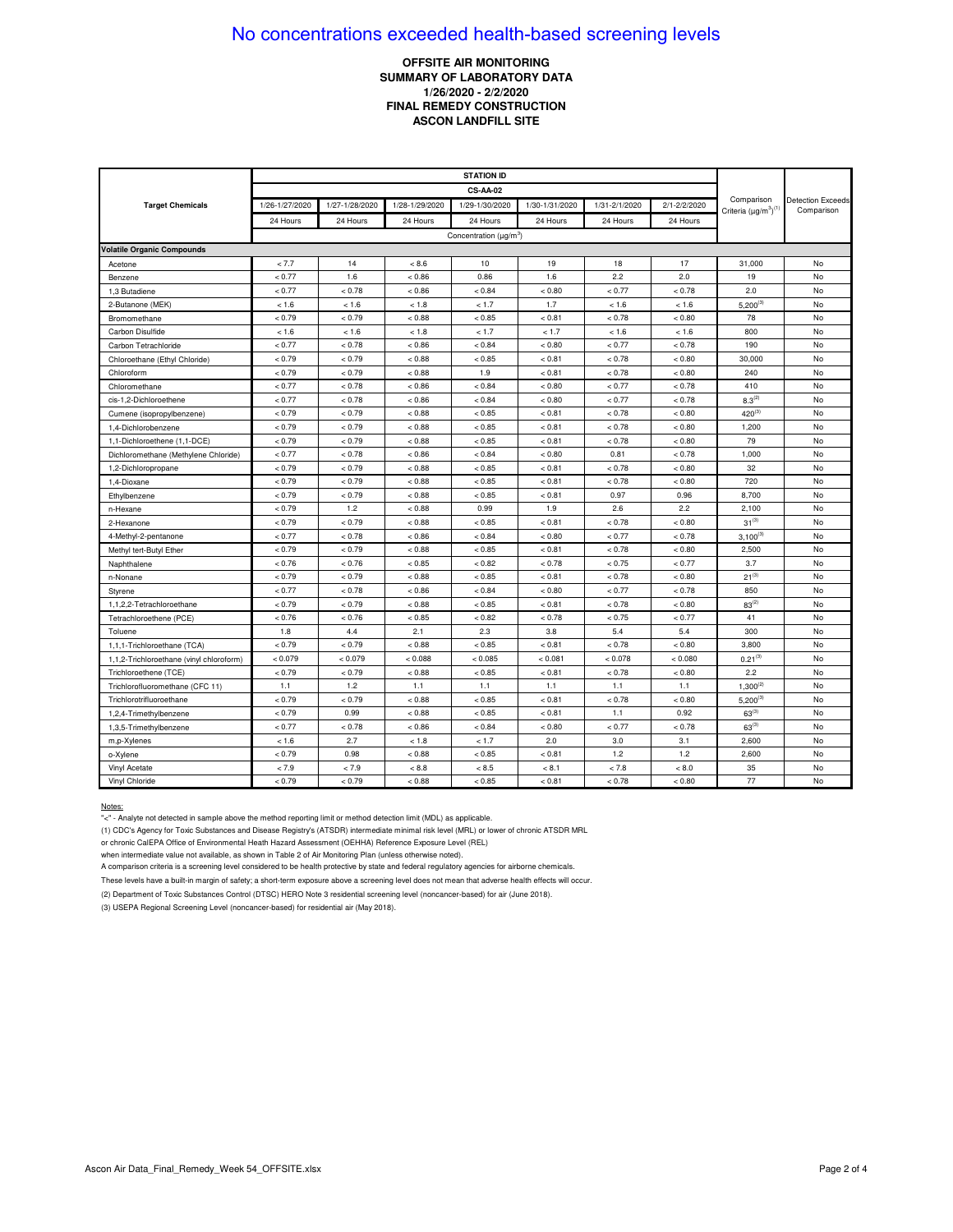## **OFFSITE AIR MONITORING SUMMARY OF LABORATORY DATA 1/26/2020 - 2/2/2020 FINAL REMEDY CONSTRUCTION ASCON LANDFILL SITE**

|                                          | <b>STATION ID</b> |                |                |                                          |                |               |              |                                            |                                        |
|------------------------------------------|-------------------|----------------|----------------|------------------------------------------|----------------|---------------|--------------|--------------------------------------------|----------------------------------------|
|                                          | <b>CS-AA-02</b>   |                |                |                                          |                |               |              |                                            |                                        |
| <b>Target Chemicals</b>                  | 1/26-1/27/2020    | 1/27-1/28/2020 | 1/28-1/29/2020 | 1/29-1/30/2020                           | 1/30-1/31/2020 | 1/31-2/1/2020 | 2/1-2/2/2020 | Comparison<br>Criteria $(\mu g/m^3)^{(1)}$ | <b>Detection Exceeds</b><br>Comparison |
|                                          | 24 Hours          | 24 Hours       | 24 Hours       | 24 Hours                                 | 24 Hours       | 24 Hours      | 24 Hours     |                                            |                                        |
|                                          |                   |                |                | Concentration ( $\mu$ g/m <sup>3</sup> ) |                |               |              |                                            |                                        |
| <b>Volatile Organic Compounds</b>        |                   |                |                |                                          |                |               |              |                                            |                                        |
| Acetone                                  | < 7.7             | 14             | < 8.6          | 10                                       | 19             | 18            | 17           | 31,000                                     | No                                     |
| Benzene                                  | < 0.77            | 1.6            | < 0.86         | 0.86                                     | 1.6            | 2.2           | 2.0          | 19                                         | No                                     |
| 1,3 Butadiene                            | < 0.77            | < 0.78         | < 0.86         | < 0.84                                   | < 0.80         | < 0.77        | < 0.78       | 2.0                                        | No                                     |
| 2-Butanone (MEK)                         | < 1.6             | < 1.6          | < 1.8          | < 1.7                                    | 1.7            | < 1.6         | < 1.6        | $5,200^{(3)}$                              | No                                     |
| Bromomethane                             | < 0.79            | < 0.79         | < 0.88         | < 0.85                                   | < 0.81         | < 0.78        | < 0.80       | 78                                         | No                                     |
| Carbon Disulfide                         | < 1.6             | < 1.6          | < 1.8          | < 1.7                                    | < 1.7          | < 1.6         | < 1.6        | 800                                        | No                                     |
| Carbon Tetrachloride                     | < 0.77            | < 0.78         | < 0.86         | < 0.84                                   | < 0.80         | < 0.77        | < 0.78       | 190                                        | No                                     |
| Chloroethane (Ethyl Chloride)            | < 0.79            | < 0.79         | < 0.88         | < 0.85                                   | < 0.81         | < 0.78        | < 0.80       | 30,000                                     | No                                     |
| Chloroform                               | < 0.79            | < 0.79         | < 0.88         | 1.9                                      | < 0.81         | < 0.78        | < 0.80       | 240                                        | No                                     |
| Chloromethane                            | < 0.77            | < 0.78         | < 0.86         | < 0.84                                   | < 0.80         | < 0.77        | < 0.78       | 410                                        | No                                     |
| cis-1,2-Dichloroethene                   | < 0.77            | < 0.78         | < 0.86         | < 0.84                                   | < 0.80         | < 0.77        | < 0.78       | $8.3^{(2)}$                                | No                                     |
| Cumene (isopropylbenzene)                | < 0.79            | < 0.79         | < 0.88         | < 0.85                                   | < 0.81         | < 0.78        | < 0.80       | $420^{(3)}$                                | No                                     |
| 1,4-Dichlorobenzene                      | < 0.79            | < 0.79         | < 0.88         | < 0.85                                   | < 0.81         | < 0.78        | < 0.80       | 1,200                                      | No                                     |
| 1,1-Dichloroethene (1,1-DCE)             | < 0.79            | < 0.79         | < 0.88         | < 0.85                                   | < 0.81         | < 0.78        | < 0.80       | 79                                         | No                                     |
| Dichloromethane (Methylene Chloride)     | < 0.77            | < 0.78         | < 0.86         | < 0.84                                   | < 0.80         | 0.81          | < 0.78       | 1,000                                      | No                                     |
| 1,2-Dichloropropane                      | < 0.79            | < 0.79         | < 0.88         | < 0.85                                   | < 0.81         | < 0.78        | < 0.80       | 32                                         | No                                     |
| 1,4-Dioxane                              | < 0.79            | < 0.79         | < 0.88         | < 0.85                                   | < 0.81         | < 0.78        | < 0.80       | 720                                        | No                                     |
| Ethylbenzene                             | < 0.79            | < 0.79         | < 0.88         | < 0.85                                   | < 0.81         | 0.97          | 0.96         | 8,700                                      | No                                     |
| n-Hexane                                 | < 0.79            | 1.2            | < 0.88         | 0.99                                     | 1.9            | 2.6           | 2.2          | 2,100                                      | No                                     |
| 2-Hexanone                               | < 0.79            | < 0.79         | < 0.88         | < 0.85                                   | < 0.81         | < 0.78        | < 0.80       | $31^{(3)}$                                 | No                                     |
| 4-Methyl-2-pentanone                     | < 0.77            | < 0.78         | < 0.86         | < 0.84                                   | < 0.80         | < 0.77        | < 0.78       | $3,100^{(3)}$                              | No                                     |
| Methyl tert-Butyl Ether                  | < 0.79            | < 0.79         | < 0.88         | < 0.85                                   | < 0.81         | < 0.78        | < 0.80       | 2,500                                      | No                                     |
| Naphthalene                              | < 0.76            | < 0.76         | < 0.85         | < 0.82                                   | < 0.78         | < 0.75        | < 0.77       | 3.7                                        | No                                     |
| n-Nonane                                 | < 0.79            | < 0.79         | < 0.88         | < 0.85                                   | < 0.81         | < 0.78        | < 0.80       | $21^{(3)}$                                 | No                                     |
| Styrene                                  | < 0.77            | < 0.78         | < 0.86         | < 0.84                                   | < 0.80         | < 0.77        | < 0.78       | 850                                        | No                                     |
| 1,1,2,2-Tetrachloroethane                | < 0.79            | < 0.79         | < 0.88         | < 0.85                                   | < 0.81         | < 0.78        | < 0.80       | $83^{(2)}$                                 | No                                     |
| Tetrachloroethene (PCE)                  | < 0.76            | < 0.76         | < 0.85         | < 0.82                                   | < 0.78         | < 0.75        | < 0.77       | 41                                         | No                                     |
| Toluene                                  | 1.8               | 4.4            | 2.1            | 2.3                                      | 3.8            | 5.4           | 5.4          | 300                                        | No                                     |
| 1,1,1-Trichloroethane (TCA)              | < 0.79            | < 0.79         | < 0.88         | < 0.85                                   | < 0.81         | < 0.78        | < 0.80       | 3,800                                      | No                                     |
| 1,1,2-Trichloroethane (vinyl chloroform) | < 0.079           | < 0.079        | < 0.088        | < 0.085                                  | < 0.081        | < 0.078       | < 0.080      | $0.21^{(3)}$                               | No                                     |
| Trichloroethene (TCE)                    | < 0.79            | < 0.79         | < 0.88         | < 0.85                                   | < 0.81         | < 0.78        | < 0.80       | 2.2                                        | No                                     |
| Trichlorofluoromethane (CFC 11)          | 1.1               | 1.2            | 1.1            | 1.1                                      | 1.1            | 1.1           | 1.1          | $1,300^{(2)}$                              | No                                     |
| Trichlorotrifluoroethane                 | < 0.79            | < 0.79         | < 0.88         | < 0.85                                   | < 0.81         | < 0.78        | < 0.80       | $5,200^{(3)}$                              | No                                     |
| 1,2,4-Trimethylbenzene                   | < 0.79            | 0.99           | < 0.88         | < 0.85                                   | < 0.81         | 1.1           | 0.92         | $63^{(3)}$                                 | No                                     |
| 1,3,5-Trimethylbenzene                   | < 0.77            | < 0.78         | < 0.86         | < 0.84                                   | < 0.80         | < 0.77        | < 0.78       | $63^{(3)}$                                 | No                                     |
| m,p-Xylenes                              | < 1.6             | 2.7            | < 1.8          | < 1.7                                    | 2.0            | 3.0           | 3.1          | 2,600                                      | No                                     |
| o-Xylene                                 | < 0.79            | 0.98           | < 0.88         | < 0.85                                   | < 0.81         | 1.2           | 1.2          | 2,600                                      | No                                     |
| Vinyl Acetate                            | < 7.9             | < 7.9          | < 8.8          | < 8.5                                    | < 8.1          | < 7.8         | < 8.0        | 35                                         | No                                     |
| Vinyl Chloride                           | < 0.79            | < 0.79         | < 0.88         | < 0.85                                   | < 0.81         | < 0.78        | < 0.80       | 77                                         | No                                     |

#### Notes:

"<" - Analyte not detected in sample above the method reporting limit or method detection limit (MDL) as applicable.

(1) CDC's Agency for Toxic Substances and Disease Registry's (ATSDR) intermediate minimal risk level (MRL) or lower of chronic ATSDR MRL

or chronic CalEPA Office of Environmental Heath Hazard Assessment (OEHHA) Reference Exposure Level (REL)

when intermediate value not available, as shown in Table 2 of Air Monitoring Plan (unless otherwise noted).

A comparison criteria is a screening level considered to be health protective by state and federal regulatory agencies for airborne chemicals.

These levels have a built-in margin of safety; a short-term exposure above a screening level does not mean that adverse health effects will occur.

(2) Department of Toxic Substances Control (DTSC) HERO Note 3 residential screening level (noncancer-based) for air (June 2018).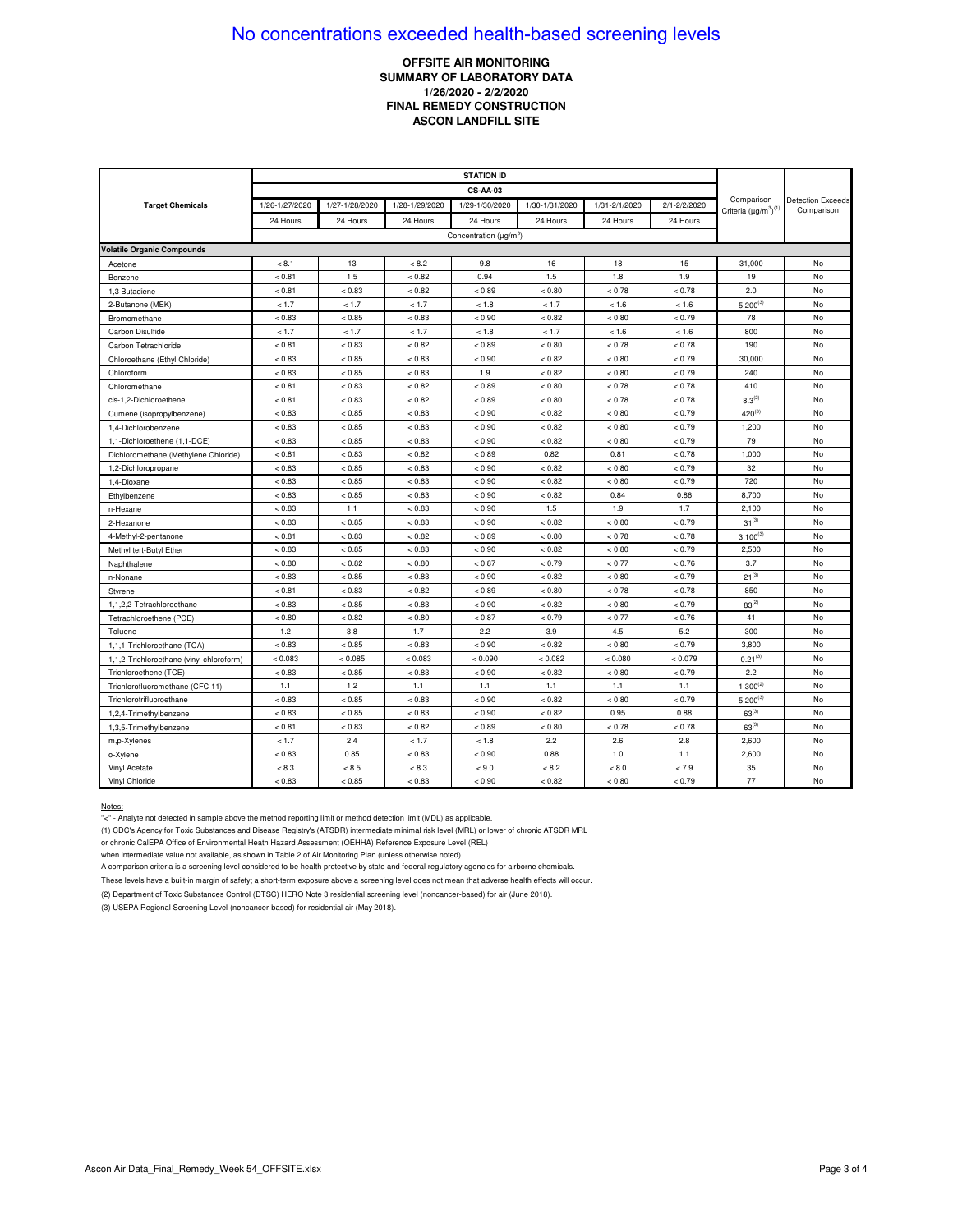## **OFFSITE AIR MONITORING** SUMMARY OF LABORATORY DATA 1/26/2020 - 2/2/2020 **FINAL REMEDY CONSTRUCTION ASCON LANDFILL SITE**

|                                          | <b>STATION ID</b> |                |                |                                          |                |               |              |                                            |                                        |
|------------------------------------------|-------------------|----------------|----------------|------------------------------------------|----------------|---------------|--------------|--------------------------------------------|----------------------------------------|
|                                          | <b>CS-AA-03</b>   |                |                |                                          |                |               |              |                                            |                                        |
| <b>Target Chemicals</b>                  | 1/26-1/27/2020    | 1/27-1/28/2020 | 1/28-1/29/2020 | 1/29-1/30/2020                           | 1/30-1/31/2020 | 1/31-2/1/2020 | 2/1-2/2/2020 | Comparison<br>Criteria $(\mu g/m^3)^{(1)}$ | <b>Detection Exceeds</b><br>Comparison |
|                                          | 24 Hours          | 24 Hours       | 24 Hours       | 24 Hours                                 | 24 Hours       | 24 Hours      | 24 Hours     |                                            |                                        |
|                                          |                   |                |                | Concentration ( $\mu$ g/m <sup>3</sup> ) |                |               |              |                                            |                                        |
| <b>Volatile Organic Compounds</b>        |                   |                |                |                                          |                |               |              |                                            |                                        |
| Acetone                                  | < 8.1             | 13             | < 8.2          | 9.8                                      | 16             | 18            | 15           | 31,000                                     | No                                     |
| Benzene                                  | < 0.81            | 1.5            | < 0.82         | 0.94                                     | 1.5            | 1.8           | 1.9          | 19                                         | No                                     |
| 1,3 Butadiene                            | < 0.81            | < 0.83         | < 0.82         | < 0.89                                   | < 0.80         | < 0.78        | < 0.78       | 2.0                                        | No                                     |
| 2-Butanone (MEK)                         | < 1.7             | < 1.7          | < 1.7          | < 1.8                                    | < 1.7          | < 1.6         | < 1.6        | $5,200^{(3)}$                              | No                                     |
| Bromomethane                             | < 0.83            | < 0.85         | < 0.83         | < 0.90                                   | < 0.82         | < 0.80        | < 0.79       | 78                                         | No                                     |
| Carbon Disulfide                         | < 1.7             | < 1.7          | < 1.7          | < 1.8                                    | < 1.7          | < 1.6         | < 1.6        | 800                                        | No                                     |
| Carbon Tetrachloride                     | < 0.81            | < 0.83         | < 0.82         | < 0.89                                   | < 0.80         | < 0.78        | < 0.78       | 190                                        | No                                     |
| Chloroethane (Ethyl Chloride)            | < 0.83            | < 0.85         | < 0.83         | < 0.90                                   | < 0.82         | < 0.80        | < 0.79       | 30,000                                     | No                                     |
| Chloroform                               | < 0.83            | < 0.85         | < 0.83         | 1.9                                      | < 0.82         | < 0.80        | < 0.79       | 240                                        | No                                     |
| Chloromethane                            | < 0.81            | < 0.83         | < 0.82         | < 0.89                                   | < 0.80         | < 0.78        | < 0.78       | 410                                        | No                                     |
| cis-1,2-Dichloroethene                   | < 0.81            | < 0.83         | < 0.82         | < 0.89                                   | < 0.80         | < 0.78        | < 0.78       | $8.3^{(2)}$                                | No                                     |
| Cumene (isopropylbenzene)                | < 0.83            | < 0.85         | < 0.83         | < 0.90                                   | < 0.82         | < 0.80        | < 0.79       | $420^{(3)}$                                | No                                     |
| 1,4-Dichlorobenzene                      | < 0.83            | < 0.85         | < 0.83         | < 0.90                                   | < 0.82         | < 0.80        | < 0.79       | 1,200                                      | No                                     |
| 1,1-Dichloroethene (1,1-DCE)             | < 0.83            | < 0.85         | < 0.83         | < 0.90                                   | < 0.82         | < 0.80        | < 0.79       | 79                                         | No                                     |
| Dichloromethane (Methylene Chloride)     | < 0.81            | < 0.83         | < 0.82         | < 0.89                                   | 0.82           | 0.81          | < 0.78       | 1,000                                      | No                                     |
| 1,2-Dichloropropane                      | < 0.83            | < 0.85         | < 0.83         | < 0.90                                   | < 0.82         | < 0.80        | < 0.79       | 32                                         | No                                     |
| 1,4-Dioxane                              | < 0.83            | < 0.85         | < 0.83         | < 0.90                                   | < 0.82         | < 0.80        | < 0.79       | 720                                        | No                                     |
| Ethylbenzene                             | < 0.83            | < 0.85         | < 0.83         | < 0.90                                   | < 0.82         | 0.84          | 0.86         | 8,700                                      | No                                     |
| n-Hexane                                 | < 0.83            | 1.1            | < 0.83         | < 0.90                                   | 1.5            | 1.9           | 1.7          | 2,100                                      | No                                     |
| 2-Hexanone                               | < 0.83            | < 0.85         | < 0.83         | < 0.90                                   | < 0.82         | < 0.80        | < 0.79       | $31^{(3)}$                                 | No                                     |
| 4-Methyl-2-pentanone                     | < 0.81            | < 0.83         | < 0.82         | < 0.89                                   | < 0.80         | < 0.78        | < 0.78       | $3,100^{(3)}$                              | No                                     |
| Methyl tert-Butyl Ether                  | < 0.83            | < 0.85         | < 0.83         | < 0.90                                   | < 0.82         | < 0.80        | < 0.79       | 2,500                                      | No                                     |
| Naphthalene                              | < 0.80            | < 0.82         | $< 0.80\,$     | < 0.87                                   | < 0.79         | < 0.77        | < 0.76       | 3.7                                        | No                                     |
| n-Nonane                                 | < 0.83            | < 0.85         | < 0.83         | < 0.90                                   | < 0.82         | < 0.80        | < 0.79       | $21^{(3)}$                                 | No                                     |
| Styrene                                  | < 0.81            | < 0.83         | < 0.82         | < 0.89                                   | < 0.80         | < 0.78        | < 0.78       | 850                                        | No                                     |
| 1,1,2,2-Tetrachloroethane                | < 0.83            | < 0.85         | < 0.83         | < 0.90                                   | < 0.82         | < 0.80        | < 0.79       | $83^{(2)}$                                 | No                                     |
| Tetrachloroethene (PCE)                  | < 0.80            | < 0.82         | < 0.80         | < 0.87                                   | < 0.79         | < 0.77        | < 0.76       | 41                                         | No                                     |
| Toluene                                  | 1.2               | 3.8            | 1.7            | 2.2                                      | 3.9            | 4.5           | 5.2          | 300                                        | No                                     |
| 1,1,1-Trichloroethane (TCA)              | < 0.83            | < 0.85         | < 0.83         | < 0.90                                   | < 0.82         | < 0.80        | < 0.79       | 3,800                                      | No                                     |
| 1,1,2-Trichloroethane (vinyl chloroform) | < 0.083           | < 0.085        | < 0.083        | < 0.090                                  | < 0.082        | < 0.080       | < 0.079      | $0.21^{(3)}$                               | No                                     |
| Trichloroethene (TCE)                    | < 0.83            | < 0.85         | < 0.83         | < 0.90                                   | < 0.82         | < 0.80        | < 0.79       | 2.2                                        | No                                     |
| Trichlorofluoromethane (CFC 11)          | 1.1               | 1.2            | 1.1            | 1.1                                      | 1.1            | 1.1           | 1.1          | $1,300^{(2)}$                              | No                                     |
| Trichlorotrifluoroethane                 | < 0.83            | < 0.85         | < 0.83         | < 0.90                                   | < 0.82         | < 0.80        | < 0.79       | $5,200^{(3)}$                              | No                                     |
| 1,2,4-Trimethylbenzene                   | < 0.83            | < 0.85         | < 0.83         | < 0.90                                   | < 0.82         | 0.95          | 0.88         | $63^{(3)}$                                 | No                                     |
| 1,3,5-Trimethylbenzene                   | < 0.81            | < 0.83         | < 0.82         | < 0.89                                   | < 0.80         | < 0.78        | < 0.78       | $63^{(3)}$                                 | No                                     |
| m,p-Xylenes                              | < 1.7             | 2.4            | < 1.7          | < 1.8                                    | 2.2            | 2.6           | 2.8          | 2,600                                      | No                                     |
| o-Xylene                                 | < 0.83            | 0.85           | < 0.83         | < 0.90                                   | 0.88           | 1.0           | 1.1          | 2,600                                      | No                                     |
| Vinyl Acetate                            | < 8.3             | < 8.5          | < 8.3          | < 9.0                                    | < 8.2          | < 8.0         | < 7.9        | 35                                         | No                                     |
| Vinyl Chloride                           | < 0.83            | < 0.85         | < 0.83         | < 0.90                                   | < 0.82         | < 0.80        | < 0.79       | 77                                         | No                                     |

#### Notes:

"<" - Analyte not detected in sample above the method reporting limit or method detection limit (MDL) as applicable.

(1) CDC's Agency for Toxic Substances and Disease Registry's (ATSDR) intermediate minimal risk level (MRL) or lower of chronic ATSDR MRL

or chronic CalEPA Office of Environmental Heath Hazard Assessment (OEHHA) Reference Exposure Level (REL)

when intermediate value not available, as shown in Table 2 of Air Monitoring Plan (unless otherwise noted).

A comparison criteria is a screening level considered to be health protective by state and federal regulatory agencies for airborne chemicals.

These levels have a built-in margin of safety; a short-term exposure above a screening level does not mean that adverse health effects will occur.

(2) Department of Toxic Substances Control (DTSC) HERO Note 3 residential screening level (noncancer-based) for air (June 2018).